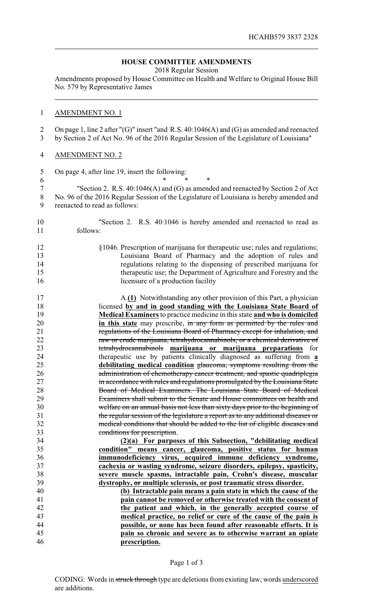# **HOUSE COMMITTEE AMENDMENTS**

2018 Regular Session

Amendments proposed by House Committee on Health and Welfare to Original House Bill No. 579 by Representative James

### AMENDMENT NO. 1

 On page 1, line 2 after "(G)" insert "and R.S. 40:1046(A) and (G) as amended and reenacted by Section 2 of Act No. 96 of the 2016 Regular Session of the Legislature of Louisiana"

# AMENDMENT NO. 2

On page 4, after line 19, insert the following:

 \* \* \* "Section 2. R.S. 40:1046(A) and (G) as amended and reenacted by Section 2 of Act No. 96 of the 2016 Regular Session of the Legislature of Louisiana is hereby amended and reenacted to read as follows:

# "Section 2. R.S. 40:1046 is hereby amended and reenacted to read as follows:

- §1046. Prescription of marijuana for therapeutic use; rules and regulations; Louisiana Board of Pharmacy and the adoption of rules and regulations relating to the dispensing of prescribed marijuana for therapeutic use; the Department of Agriculture and Forestry and the 16 licensure of a production facility
- A.**(1)** Notwithstanding any other provision of this Part, a physician licensed **by and in good standing with the Louisiana State Board of Medical Examiners**to practice medicine in this state **and who is domiciled in this state** may prescribe, in any form as permitted by the rules and **regulations of the Louisiana Board of Pharmacy except for inhalation, and** 22 raw or crude marijuana, tetrahydrocannabinols, or a chemical derivative of<br>23 tetrahydrocannabinols **marijuana or marijuana preparations** for tetrahydrocannabinols **marijuana or marijuana preparations** for therapeutic use by patients clinically diagnosed as suffering from **a debilitating medical condition** glaucoma, symptoms resulting from the 26 administration of chemotherapy cancer treatment, and spastic quadriplegia in accordance with rules and regulations promulgated by the Louisiana State Board of Medical Examiners. The Louisiana State Board of Medical Examiners shall submit to the Senate and House committees on health and welfare on an annual basis not less than sixty days prior to the beginning of the regular session of the legislature a report as to any additional diseases or medical conditions that should be added to the list of eligible diseases and conditions for prescription.

 **(2)(a) For purposes of this Subsection, "debilitating medical condition" means cancer, glaucoma, positive status for human immunodeficiency virus, acquired immune deficiency syndrome, cachexia or wasting syndrome, seizure disorders, epilepsy, spasticity, severe muscle spasms, intractable pain, Crohn's disease, muscular dystrophy, or multiple sclerosis, or post traumatic stress disorder.**

 **(b) Intractable pain means a pain state in which the cause of the pain cannot be removed or otherwise treated with the consent of the patient and which, in the generally accepted course of medical practice, no relief or cure of the cause of the pain is possible, or none has been found after reasonable efforts. It is pain so chronic and severe as to otherwise warrant an opiate prescription.** 

#### Page 1 of 3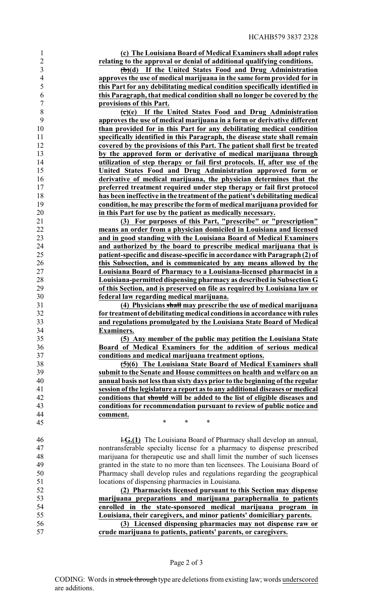**(c) The Louisiana Board of Medical Examiners shall adopt rules relating to the approval or denial of additional qualifying conditions.**

 **(b)(d) If the United States Food and Drug Administration approves the use of medical marijuana in the same form provided for in this Part for any debilitating medical condition specifically identified in this Paragraph, that medical condition shall no longer be covered by the provisions of this Part.**

 **(c)(e) If the United States Food and Drug Administration approves the use of medical marijuana in a form or derivative different than provided for in this Part for any debilitating medical condition specifically identified in this Paragraph, the disease state shall remain covered by the provisions of this Part. The patient shall first be treated by the approved form or derivative of medical marijuana through utilization of step therapy or fail first protocols. If, after use of the United States Food and Drug Administration approved form or derivative of medical marijuana, the physician determines that the preferred treatment required under step therapy or fail first protocol has been ineffective in the treatment of the patient's debilitating medical condition, he may prescribe the form of medical marijuana provided for in this Part for use by the patient as medically necessary.**

 **(3) For purposes of this Part, "prescribe" or "prescription" means an order from a physician domiciled in Louisiana and licensed and in good standing with the Louisiana Board of Medical Examiners and authorized by the board to prescribe medical marijuana that is patient-specific and disease-specific in accordance with Paragraph (2) of this Subsection, and is communicated by any means allowed by the Louisiana Board of Pharmacy to a Louisiana-licensed pharmacist in a Louisiana-permitted dispensing pharmacy as described in Subsection G of this Section, and is preserved on file as required by Louisiana law or federal law regarding medical marijuana.**

 **(4) Physicians shall may prescribe the use of medical marijuana for treatment of debilitating medical conditions in accordance with rules and regulations promulgated by the Louisiana State Board of Medical Examiners.**

 **(5) Any member of the public may petition the Louisiana State Board of Medical Examiners for the addition of serious medical conditions and medical marijuana treatment options.**

 **(5)(6) The Louisiana State Board of Medical Examiners shall submit to the Senate and House committees on health and welfare on an annual basis not less than sixty days prior to the beginning of the regular session of the legislature a report as to any additional diseases or medical conditions that should will be added to the list of eligible diseases and conditions for recommendation pursuant to review of public notice and comment.**

 I.**G.(1)** The Louisiana Board of Pharmacy shall develop an annual, nontransferable specialty license for a pharmacy to dispense prescribed marijuana for therapeutic use and shall limit the number of such licenses granted in the state to no more than ten licensees. The Louisiana Board of Pharmacy shall develop rules and regulations regarding the geographical locations of dispensing pharmacies in Louisiana.

 **(2) Pharmacists licensed pursuant to this Section may dispense marijuana preparations and marijuana paraphernalia to patients enrolled in the state-sponsored medical marijuana program in Louisiana, their caregivers, and minor patients' domiciliary parents.**

 **(3) Licensed dispensing pharmacies may not dispense raw or crude marijuana to patients, patients' parents, or caregivers.**

45 \* \* \* \*